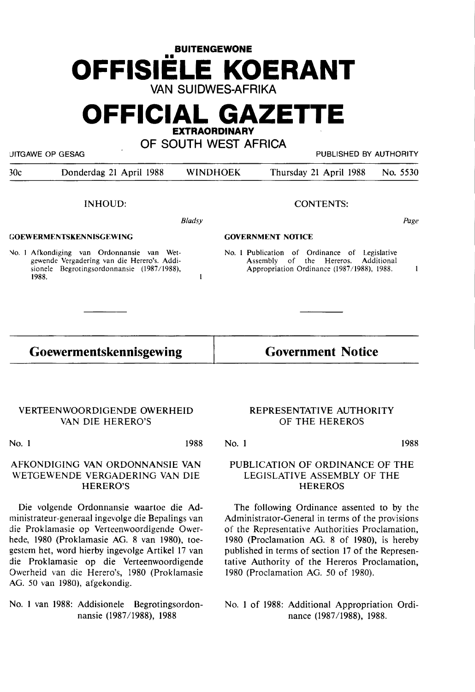# **BUITENGEWONE**  •• **OFFISIELE KOERANT VAN SUIDWES-AFRIKA**

## **OFFICIAL GAZETTE EXTRAORDINARY**

**OF SOUTH WEST AFRICA** 

UITGAWE OP GESAG PUBLISHED BY AUTHORITY

30c Donderdag 21 April 1988 WINDHOEK Thursday 21 April 1988 No. 5530

INHOUD:

*Bladsy* 

 $\mathbf{1}$ 

#### **GOEWERMENTSKENNISGEWING**

No. 1 Afkondiging van Ordonnansie van Wetgewende Vergadering van die Herero's. Addisionele Begrotingsordonnansie (1987/1988), 1988.

#### CONTENTS:

Page

#### **GOVERNMENT NOTICE**

No. l Publication of Ordinance of Legislative Assembly of the Hereros. Appropriation Ordinance (1987/1988), 1988.  $\mathbf{1}$ 

**Goewermentskennisgewing** 

### **Government Notice**

#### VERTEENWOORDlGENDE OWERHEID VAN DIE HERERO'S

No. 1 1988

#### AFKONDIGING VAN ORDONNANSIE VAN WETGEWENDE VERGADERING VAN DIE HERERO'S

Die volgende Ordonnansie waartoe die Administrateur-generaal ingevolge die Bepalings van die Proklamasie op Verteenwoordigende Owerhede, 1980 (Proklamasie AG. 8 van 1980), toegestem bet, word hierby ingevolge Artikel 17 van die Proklamasie op die Verteenwoordigende Owerheid van die Herero's, 1980 (Proklamasie AG. 50 van 1980), afgekondig.

No. 1 van 1988: Addisionele Begrotingsordonnansie (1987/1988), 1988

#### REPRESENTATIVE AUTHORITY OF THE HEREROS

No. 1

1988

#### PUBLICATION OF ORDINANCE OF THE LEGISLATIVE ASSEMBLY OF THE **HEREROS**

The following Ordinance assented to by the Administrator-General in terms of the provisions of the Representative Authorities Proclamation, 1980 (Proclamation AG. 8 of 1980), is hereby published in terms of section 17 of the Representative Authority of the Hereros Proclamation, 1980 (Proclamation AG. 50 of 1980).

No. 1 of 1988: Additional Appropriation Ordinance (1987 /1988), 1988.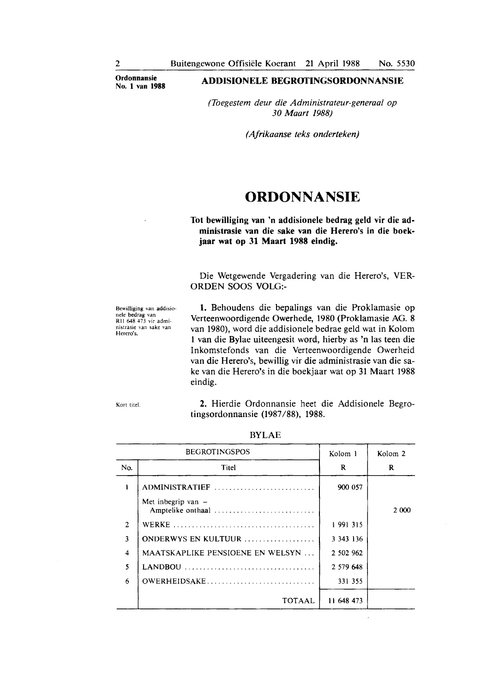**Ordonnansie** 

#### **No. 1 van 1988 ADDISIONELE BEGROI'INGSORDONNANSIE**

*(Toegestem deur die Administrateur-generaal op 30 Maart 1988)* 

*(Afrikaanse teks onderteken)* 

### **ORDONNANSIE**

#### **Tot bewilliging van 'n addisionele bedrag geld vir die administrasie van die sake van die Herero's in die boekjaar wat op 31 Maart 1988 eindig.**

Die Wetgewende Vergadering van die Herero's, VER-ORDEN SOOS VOLG:-

Bewilliging van addisionele bedrag van RII 648 473 vir admi nistrasie van sake van Herero's.

**1.** Behoudens die bepalings van die Proklamasie op Verteenwoordigende Owerhede, 1980 (Proklamasie AG. 8 van 1980), word die addisionele bedrae geld wat in Kolom 1 van die Bylae uiteengesit word, hierby as 'n las teen die Inkomstefonds van die Verteenwoordigende Owerheid van die Herero's, bewillig vir die administrasie van die sake van die Herero's in die boekjaar wat op 31 Maart 1988 eindig.

Kort titel. **2.** Hierdie Ordonnansie heet die Addisionele Begrotingsordonnansie (1987 /88), 1988.

| <b>BEGROTINGSPOS</b> |                                           | Kolom 1       | Kolom <sub>2</sub> |
|----------------------|-------------------------------------------|---------------|--------------------|
| No.                  | Titel                                     | R             | R                  |
|                      | ADMINISTRATIEF                            | 900 057       |                    |
|                      | Met inbegrip van $-$<br>Amptelike onthaal |               | 2 000              |
| 2                    |                                           | 1991315       |                    |
| 3                    | ONDERWYS EN KULTUUR                       | 3 3 4 3 1 3 6 |                    |
| $\overline{\bf{4}}$  | <b>MAATSKAPLIKE PENSIOENE EN WELSYN</b>   | 2 502 962     |                    |
| 5                    | $LANDBOU$                                 | 2 579 648     |                    |
| 6                    | OWERHEIDSAKE                              | 331 355       |                    |
|                      | TOTAAL                                    | 11 648 473    |                    |

BYLAE